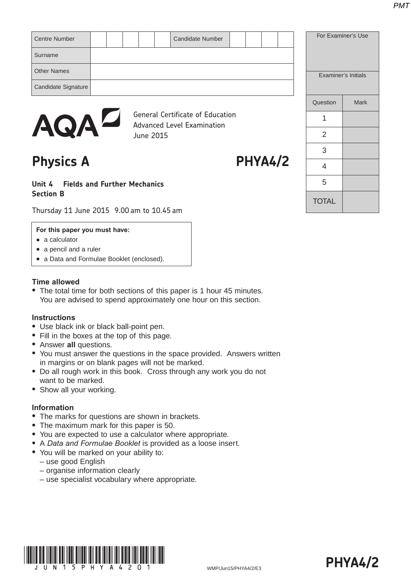| Centre Number       |  |           | Candidate Number                                                             |  |  | For Examiner's Use         |      |
|---------------------|--|-----------|------------------------------------------------------------------------------|--|--|----------------------------|------|
| Surname             |  |           |                                                                              |  |  |                            |      |
| <b>Other Names</b>  |  |           |                                                                              |  |  | <b>Examiner's Initials</b> |      |
| Candidate Signature |  |           |                                                                              |  |  |                            |      |
|                     |  |           |                                                                              |  |  | Question                   | Mark |
| <b>AQAD</b>         |  |           | <b>General Certificate of Education</b><br><b>Advanced Level Examination</b> |  |  |                            |      |
|                     |  | June 2015 |                                                                              |  |  | っ                          |      |

# Physics A PHYA4/2

# **Unit 4 Fields and Further Mechanics Section B**

Thursday 11 June 2015 9.00 am to 10.45 am

### **For this paper you must have:**

- $\bullet$  a calculator
- $\bullet$  a pencil and a ruler
- a Data and Formulae Booklet (enclosed).

### **Time allowed**

• The total time for both sections of this paper is 1 hour 45 minutes. You are advised to spend approximately one hour on this section.

# **Instructions**

- Use black ink or black ball-point pen.
- Fill in the boxes at the top of this page.
- **Answer all questions.**
- You must answer the questions in the space provided. Answers written in margins or on blank pages will not be marked.
- Do all rough work in this book. Cross through any work you do not want to be marked.
- Show all your working.

# **Information**

- The marks for questions are shown in brackets.
- The maximum mark for this paper is 50.
- You are expected to use a calculator where appropriate.
- A *Data and Formulae Booklet* is provided as a loose insert.
- You will be marked on your ability to:
	- use good English
	- organise information clearly
	- use specialist vocabulary where appropriate.



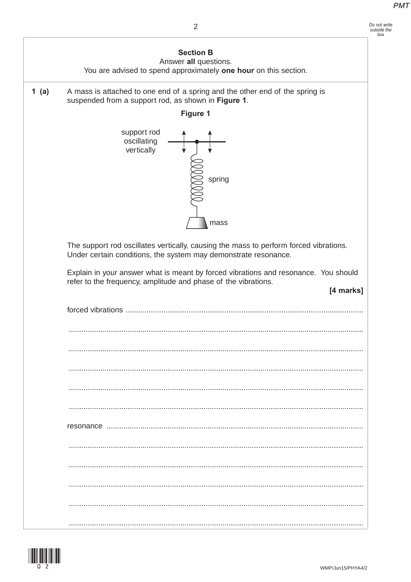#### Do not write<br>outside the  $h$ <sub>ora</sub>



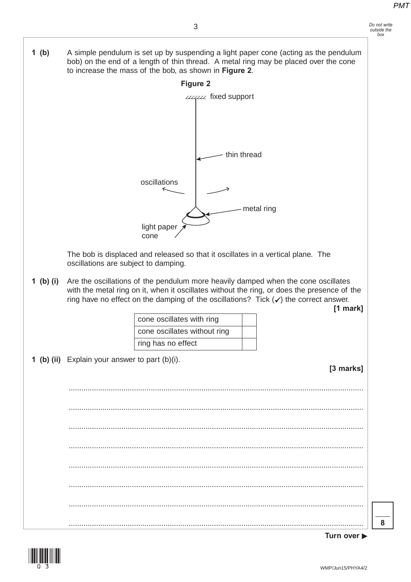

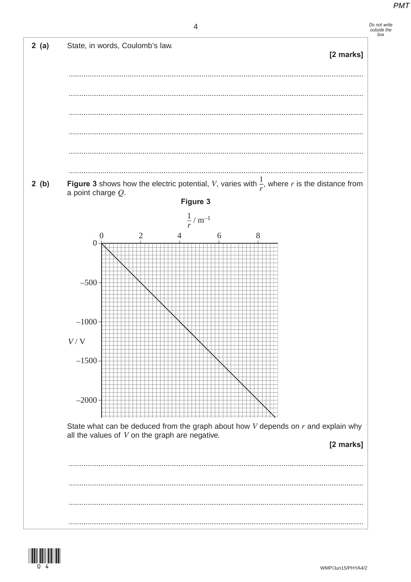





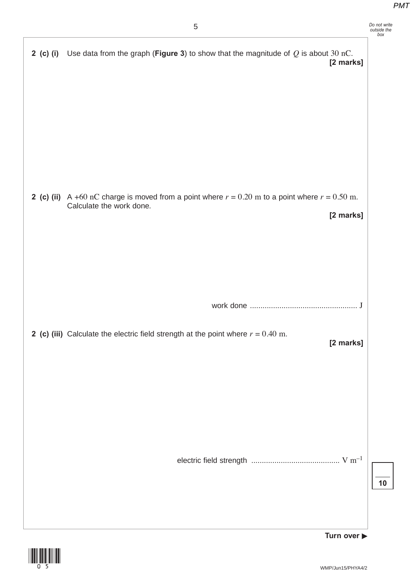| 5                                                                                                                                                  | Do not write<br>outside the<br>box |
|----------------------------------------------------------------------------------------------------------------------------------------------------|------------------------------------|
| 2 (c) (i) Use data from the graph (Figure 3) to show that the magnitude of $Q$ is about 30 nC.<br>[2 marks]                                        |                                    |
| <b>2 (c) (ii)</b> A +60 nC charge is moved from a point where $r = 0.20$ m to a point where $r = 0.50$ m.<br>Calculate the work done.<br>[2 marks] |                                    |
| 2 (c) (iii) Calculate the electric field strength at the point where $r = 0.40$ m.<br>[2 marks]                                                    |                                    |
|                                                                                                                                                    | 10                                 |
| Turn over $\blacktriangleright$                                                                                                                    |                                    |

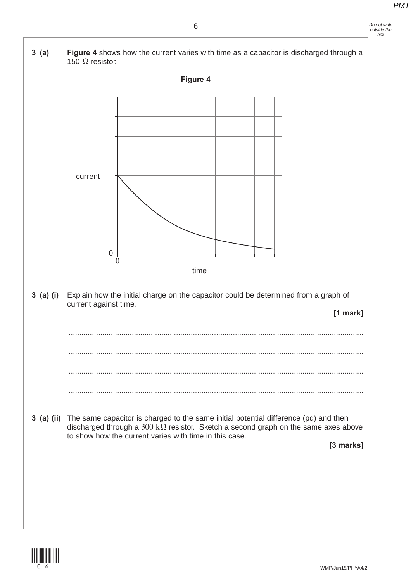

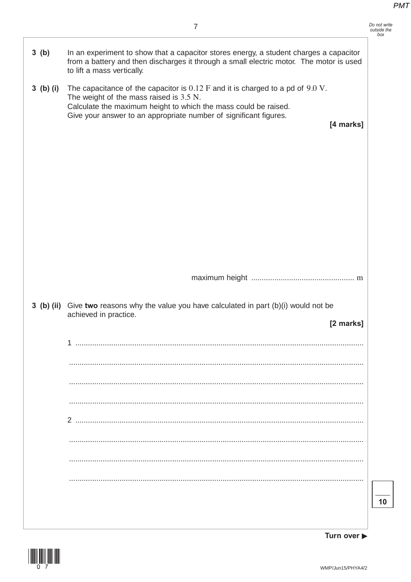|             | $\overline{7}$                                                                                                                                                                                                                                                          |
|-------------|-------------------------------------------------------------------------------------------------------------------------------------------------------------------------------------------------------------------------------------------------------------------------|
| 3(b)        | In an experiment to show that a capacitor stores energy, a student charges a capacitor<br>from a battery and then discharges it through a small electric motor. The motor is used<br>to lift a mass vertically.                                                         |
| $3$ (b) (i) | The capacitance of the capacitor is $0.12$ F and it is charged to a pd of $9.0$ V.<br>The weight of the mass raised is $3.5$ N.<br>Calculate the maximum height to which the mass could be raised.<br>Give your answer to an appropriate number of significant figures. |
|             | [4 marks]                                                                                                                                                                                                                                                               |
|             |                                                                                                                                                                                                                                                                         |
|             |                                                                                                                                                                                                                                                                         |
|             |                                                                                                                                                                                                                                                                         |
|             |                                                                                                                                                                                                                                                                         |
|             |                                                                                                                                                                                                                                                                         |
|             |                                                                                                                                                                                                                                                                         |
|             |                                                                                                                                                                                                                                                                         |
|             |                                                                                                                                                                                                                                                                         |
|             | 3 (b) (ii) Give two reasons why the value you have calculated in part (b)(i) would not be<br>achieved in practice.                                                                                                                                                      |
|             | [2 marks]<br>1                                                                                                                                                                                                                                                          |
|             |                                                                                                                                                                                                                                                                         |
|             |                                                                                                                                                                                                                                                                         |
|             |                                                                                                                                                                                                                                                                         |
|             |                                                                                                                                                                                                                                                                         |
|             |                                                                                                                                                                                                                                                                         |
|             |                                                                                                                                                                                                                                                                         |
|             |                                                                                                                                                                                                                                                                         |



**Turn over**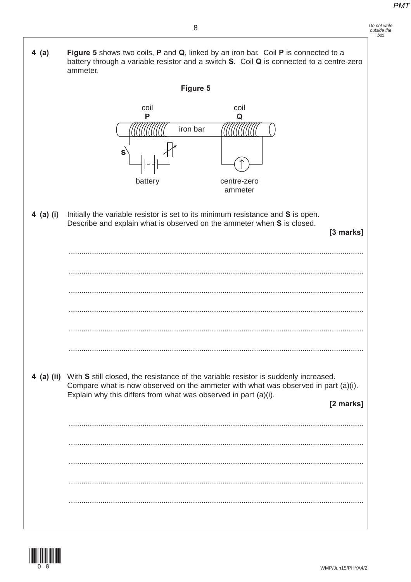| Do not write |  |
|--------------|--|
| outside the  |  |
| box          |  |

 $4$  (a) Figure 5 shows two coils, P and Q, linked by an iron bar. Coil P is connected to a battery through a variable resistor and a switch S. Coil Q is connected to a centre-zero ammeter. Figure 5 coil coil P  $\Omega$ iron bar ¢ battery centre-zero ammeter Initially the variable resistor is set to its minimum resistance and S is open. 4 (a) (i) Describe and explain what is observed on the ammeter when S is closed. [3 marks] 4 (a) (ii) With S still closed, the resistance of the variable resistor is suddenly increased. Compare what is now observed on the ammeter with what was observed in part (a)(i). Explain why this differs from what was observed in part (a)(i). [2 marks] 

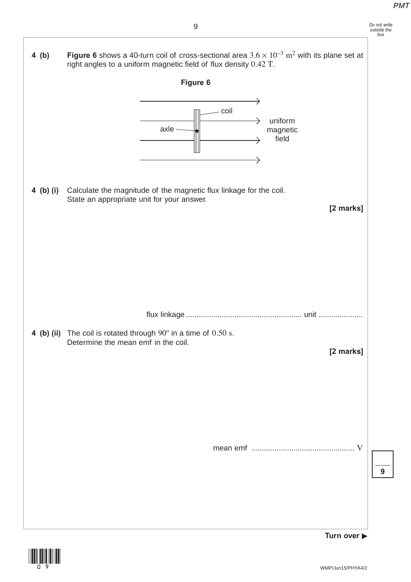**4 (b)** Figure 6 shows a 40-turn coil of cross-sectional area  $3.6 \times 10^{-3}$  m<sup>2</sup> with its plane set at

right angles to a uniform magnetic field of flux density 0.42 T. **Figure 6**  $\rightarrow$ coil uniform  $\rightarrow$ axle magnetic field  $\rightarrow$  $\rightarrow$ **4 (b) (i)** Calculate the magnitude of the magnetic flux linkage for the coil. State an appropriate unit for your answer. **[2 marks]** flux linkage ....................................................... unit ..................... **4 (b) (ii)** The coil is rotated through 90º in a time of 0.50 s. Determine the mean emf in the coil. **[2 marks]** mean emf ................................................. V **Turn over** 

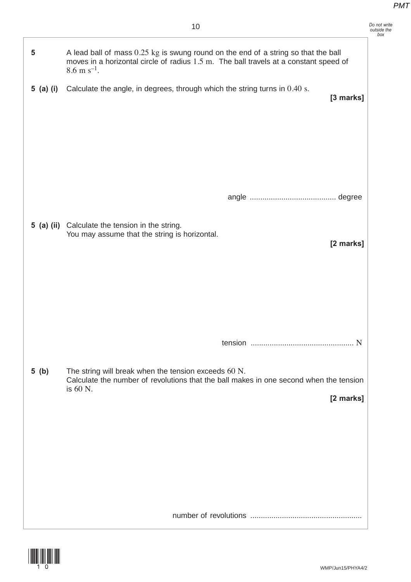|                         | 10                                                                                                                                                                                                      | Do not write<br>outside the |
|-------------------------|---------------------------------------------------------------------------------------------------------------------------------------------------------------------------------------------------------|-----------------------------|
| $\overline{\mathbf{5}}$ | A lead ball of mass 0.25 kg is swung round on the end of a string so that the ball<br>moves in a horizontal circle of radius 1.5 m. The ball travels at a constant speed of<br>$8.6 \text{ m s}^{-1}$ . |                             |
| 5 (a) (i)               | Calculate the angle, in degrees, through which the string turns in 0.40 s.<br>[3 marks]                                                                                                                 |                             |
|                         | 5 (a) (ii) Calculate the tension in the string.                                                                                                                                                         |                             |
|                         | You may assume that the string is horizontal.<br>[2 marks]                                                                                                                                              |                             |
|                         |                                                                                                                                                                                                         |                             |
| 5(b)                    | The string will break when the tension exceeds 60 N.<br>Calculate the number of revolutions that the ball makes in one second when the tension<br>is 60 N.<br>[2 marks]                                 |                             |
|                         |                                                                                                                                                                                                         |                             |
|                         |                                                                                                                                                                                                         |                             |

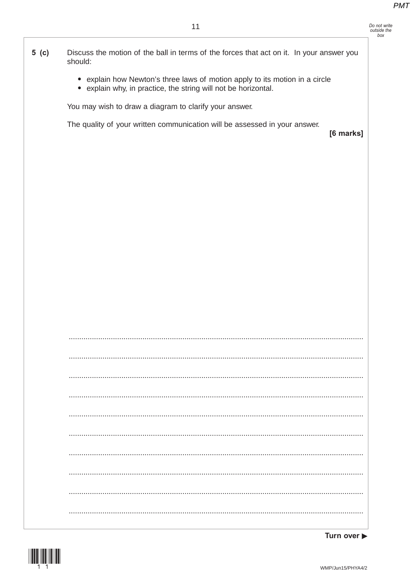Do not write<br>outside the<br>box

| $5$ (c) | Discuss the motion of the ball in terms of the forces that act on it. In your answer you |  |
|---------|------------------------------------------------------------------------------------------|--|
|         | should:                                                                                  |  |

- explain how Newton's three laws of motion apply to its motion in a circle
- explain why, in practice, the string will not be horizontal.

You may wish to draw a diagram to clarify your answer.

The quality of your written communication will be assessed in your answer.

[6 marks]

|  |  | . |
|--|--|---|
|  |  |   |
|  |  |   |
|  |  |   |
|  |  |   |

Turn over  $\blacktriangleright$